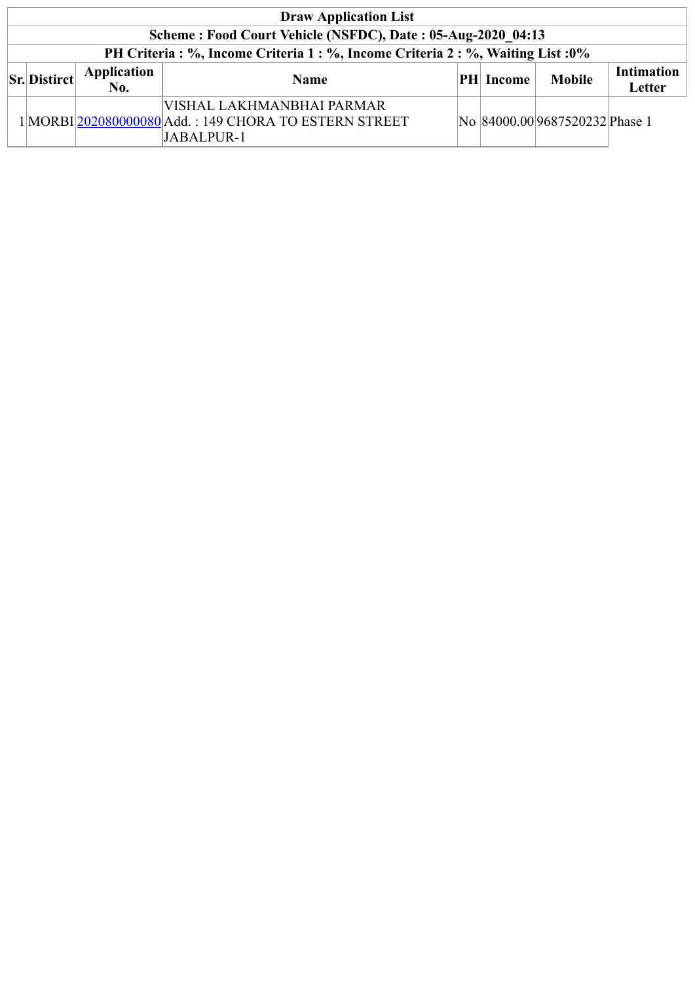| <b>Draw Application List</b> |                                                             |                    |                                                                                                  |  |           |                                |                             |  |  |  |  |
|------------------------------|-------------------------------------------------------------|--------------------|--------------------------------------------------------------------------------------------------|--|-----------|--------------------------------|-----------------------------|--|--|--|--|
|                              | Scheme: Food Court Vehicle (NSFDC), Date: 05-Aug-2020 04:13 |                    |                                                                                                  |  |           |                                |                             |  |  |  |  |
|                              |                                                             |                    | PH Criteria : %, Income Criteria 1 : %, Income Criteria 2 : %, Waiting List : 0%                 |  |           |                                |                             |  |  |  |  |
|                              | $\vert$ Sr. Distirct $\vert$                                | Application<br>No. | <b>Name</b>                                                                                      |  | PH Income | <b>Mobile</b>                  | <b>Intimation</b><br>Letter |  |  |  |  |
|                              |                                                             |                    | VISHAL LAKHMANBHAI PARMAR<br>1 MORBI 202080000080 Add.: 149 CHORA TO ESTERN STREET<br>JABALPUR-1 |  |           | No 84000.00 9687520232 Phase 1 |                             |  |  |  |  |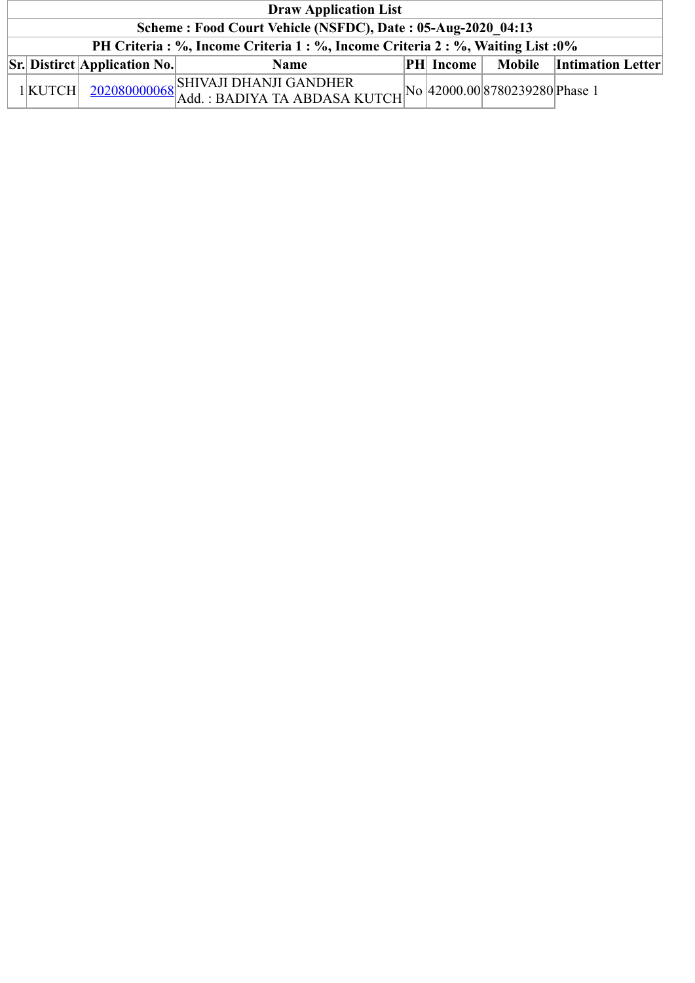| <b>Draw Application List</b>                                                     |                                                     |                                                                                                                              |  |                  |  |                            |  |  |  |  |
|----------------------------------------------------------------------------------|-----------------------------------------------------|------------------------------------------------------------------------------------------------------------------------------|--|------------------|--|----------------------------|--|--|--|--|
| Scheme: Food Court Vehicle (NSFDC), Date: 05-Aug-2020 04:13                      |                                                     |                                                                                                                              |  |                  |  |                            |  |  |  |  |
| PH Criteria : %, Income Criteria 1 : %, Income Criteria 2 : %, Waiting List : 0% |                                                     |                                                                                                                              |  |                  |  |                            |  |  |  |  |
|                                                                                  | $\left \mathbf{Sr}\right $ Distirct Application No. | <b>Name</b>                                                                                                                  |  | <b>PH</b> Income |  | Mobile   Intimation Letter |  |  |  |  |
| $1$ KUTCH                                                                        |                                                     | $\frac{202080000068}{\text{Add.}: \text{BADIYA TA ABDASA KUTCH}}\text{No} \cdot \frac{1}{42000.008780239280} \text{Phase 1}$ |  |                  |  |                            |  |  |  |  |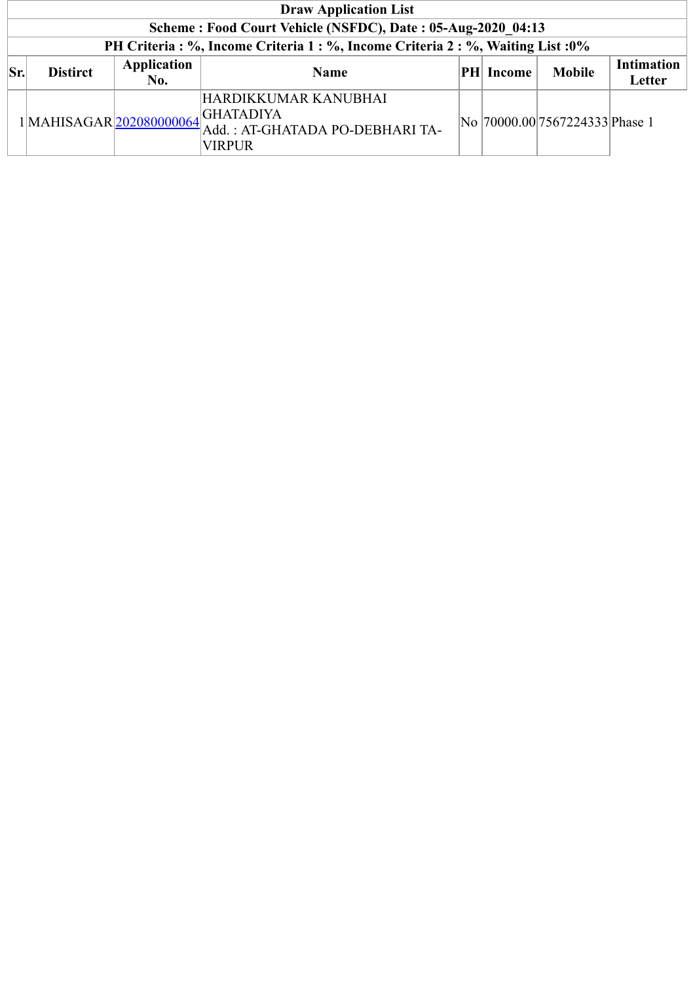|     | <b>Draw Application List</b> |                    |                                                                                                        |  |                  |                                 |                             |  |  |  |
|-----|------------------------------|--------------------|--------------------------------------------------------------------------------------------------------|--|------------------|---------------------------------|-----------------------------|--|--|--|
|     |                              |                    | Scheme: Food Court Vehicle (NSFDC), Date: 05-Aug-2020 04:13                                            |  |                  |                                 |                             |  |  |  |
|     |                              |                    | PH Criteria : %, Income Criteria 1 : %, Income Criteria 2 : %, Waiting List : 0%                       |  |                  |                                 |                             |  |  |  |
| Sr. | <b>Distirct</b>              | Application<br>No. | <b>Name</b>                                                                                            |  | <b>PH</b> Income | <b>Mobile</b>                   | <b>Intimation</b><br>Letter |  |  |  |
|     |                              |                    | HARDIKKUMAR KANUBHAI<br>1MAHISAGAR 202080000064 GHATADIYA<br>Add.: AT-GHATADA PO-DEBHARI TA-<br>VIRPUR |  |                  | No  70000.00 7567224333 Phase 1 |                             |  |  |  |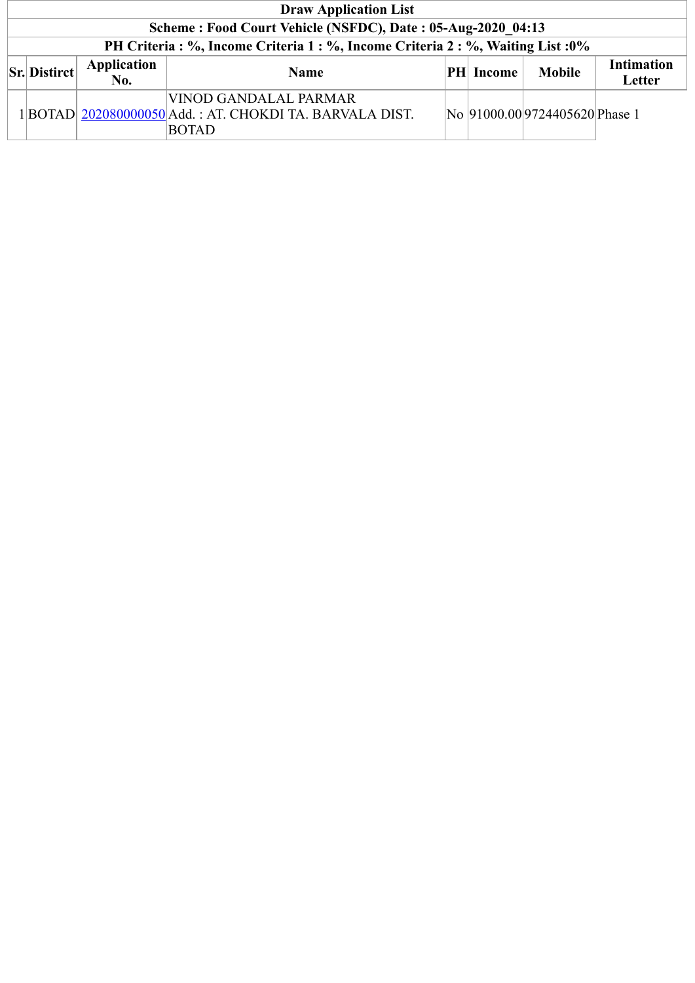| <b>Draw Application List</b>                                |                           |                                                                                                   |  |           |                               |                             |  |  |  |  |
|-------------------------------------------------------------|---------------------------|---------------------------------------------------------------------------------------------------|--|-----------|-------------------------------|-----------------------------|--|--|--|--|
| Scheme: Food Court Vehicle (NSFDC), Date: 05-Aug-2020 04:13 |                           |                                                                                                   |  |           |                               |                             |  |  |  |  |
|                                                             |                           | PH Criteria : %, Income Criteria 1 : %, Income Criteria 2 : %, Waiting List : 0%                  |  |           |                               |                             |  |  |  |  |
| $\vert$ Sr. Distirct $\vert$                                | <b>Application</b><br>No. | <b>Name</b>                                                                                       |  | PH Income | <b>Mobile</b>                 | <b>Intimation</b><br>Letter |  |  |  |  |
|                                                             |                           | VINOD GANDALAL PARMAR<br>1 BOTAD  202080000050 Add.: AT. CHOKDI TA. BARVALA DIST.<br><b>BOTAD</b> |  |           | No 91000.009724405620 Phase 1 |                             |  |  |  |  |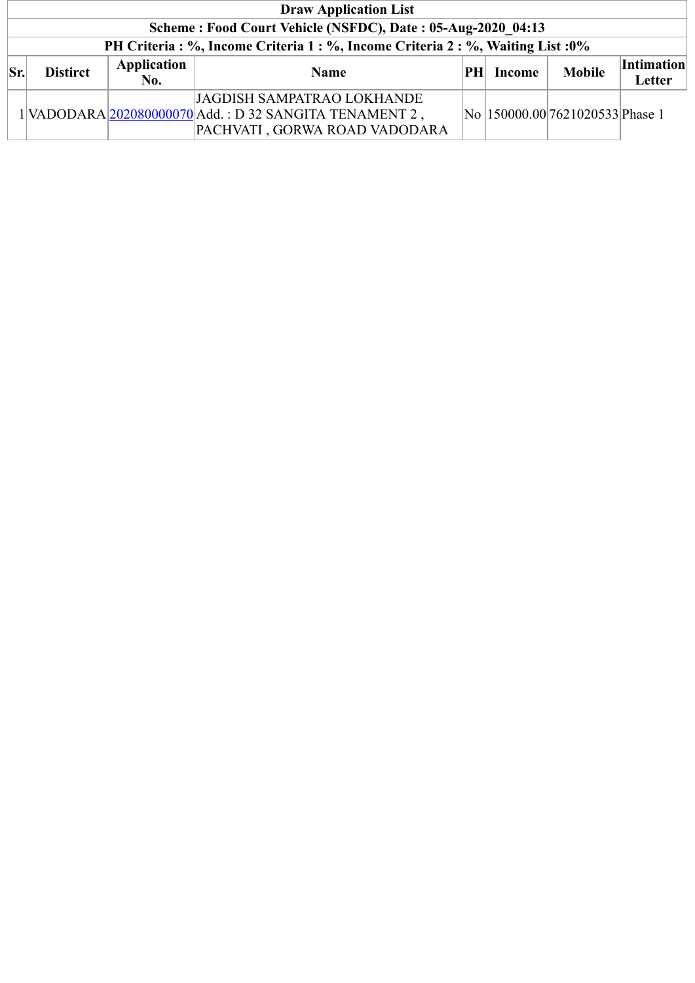|     | <b>Draw Application List</b>                                |                    |                                                                                                                       |     |        |                                  |                             |  |  |  |  |
|-----|-------------------------------------------------------------|--------------------|-----------------------------------------------------------------------------------------------------------------------|-----|--------|----------------------------------|-----------------------------|--|--|--|--|
|     | Scheme: Food Court Vehicle (NSFDC), Date: 05-Aug-2020 04:13 |                    |                                                                                                                       |     |        |                                  |                             |  |  |  |  |
|     |                                                             |                    | PH Criteria: %, Income Criteria 1: %, Income Criteria 2: %, Waiting List: 0%                                          |     |        |                                  |                             |  |  |  |  |
| Sr. | <b>Distirct</b>                                             | Application<br>No. | <b>Name</b>                                                                                                           | PHL | Income | <b>Mobile</b>                    | <b>Intimation</b><br>Letter |  |  |  |  |
|     |                                                             |                    | JAGDISH SAMPATRAO LOKHANDE<br>1 VADODARA 202080000070 Add.: D 32 SANGITA TENAMENT 2,<br>PACHVATI, GORWA ROAD VADODARA |     |        | No  150000.00 7621020533 Phase 1 |                             |  |  |  |  |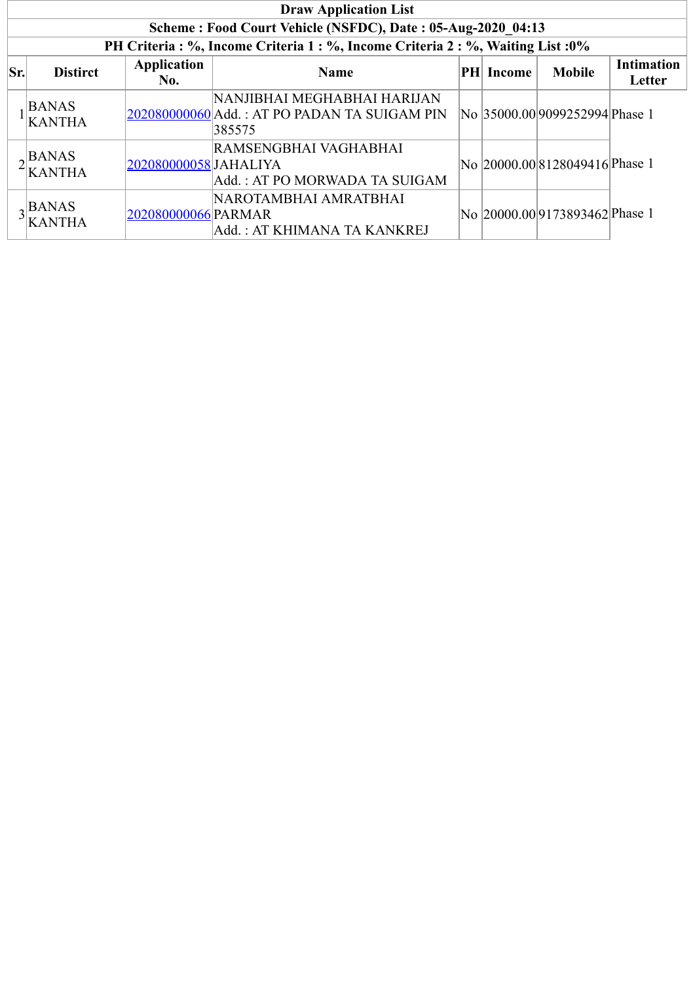|     | <b>Draw Application List</b>       |                           |                                                                                       |  |                  |                                |                             |  |  |  |  |
|-----|------------------------------------|---------------------------|---------------------------------------------------------------------------------------|--|------------------|--------------------------------|-----------------------------|--|--|--|--|
|     |                                    |                           | Scheme: Food Court Vehicle (NSFDC), Date: 05-Aug-2020 04:13                           |  |                  |                                |                             |  |  |  |  |
|     |                                    |                           | PH Criteria : %, Income Criteria 1 : %, Income Criteria 2 : %, Waiting List : 0%      |  |                  |                                |                             |  |  |  |  |
| Sr. | <b>Distirct</b>                    | <b>Application</b><br>No. | <b>Name</b>                                                                           |  | <b>PH</b> Income | <b>Mobile</b>                  | <b>Intimation</b><br>Letter |  |  |  |  |
|     | <b>BANAS</b><br><b>KANTHA</b>      |                           | NANJIBHAI MEGHABHAI HARIJAN<br>202080000060 Add.: AT PO PADAN TA SUIGAM PIN<br>385575 |  |                  | No 35000.00 9099252994 Phase 1 |                             |  |  |  |  |
|     | $\triangle$ BANAS<br><b>KANTHA</b> | 202080000058 JAHALIYA     | RAMSENGBHAI VAGHABHAI<br>Add.: AT PO MORWADA TA SUIGAM                                |  |                  | No 20000.00 8128049416 Phase 1 |                             |  |  |  |  |
|     | $\alpha$ BANAS<br><b>KANTHA</b>    | 202080000066 PARMAR       | NAROTAMBHAI AMRATBHAI<br>Add.: AT KHIMANA TA KANKREJ                                  |  |                  | No 20000.00 9173893462 Phase 1 |                             |  |  |  |  |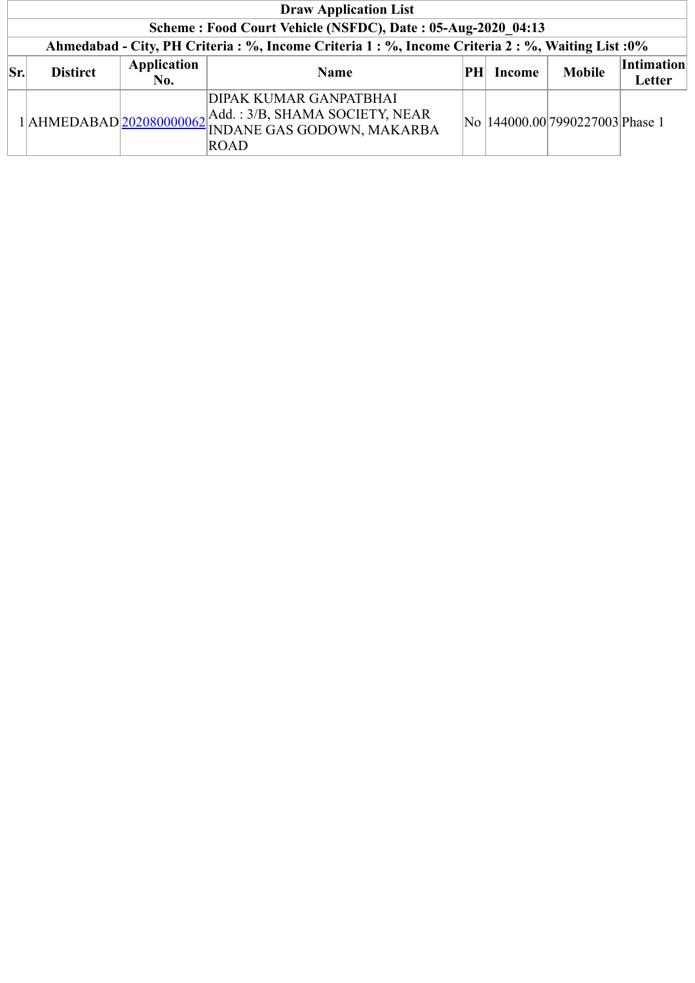|     | <b>Draw Application List</b>                                |                           |                                                                                                                         |    |        |                                  |                             |  |  |  |  |
|-----|-------------------------------------------------------------|---------------------------|-------------------------------------------------------------------------------------------------------------------------|----|--------|----------------------------------|-----------------------------|--|--|--|--|
|     | Scheme: Food Court Vehicle (NSFDC), Date: 05-Aug-2020 04:13 |                           |                                                                                                                         |    |        |                                  |                             |  |  |  |  |
|     |                                                             |                           | Ahmedabad - City, PH Criteria : %, Income Criteria 1 : %, Income Criteria 2 : %, Waiting List : 0%                      |    |        |                                  |                             |  |  |  |  |
| Sr. | <b>Distirct</b>                                             | <b>Application</b><br>No. | <b>Name</b>                                                                                                             | PH | Income | <b>Mobile</b>                    | <b>Intimation</b><br>Letter |  |  |  |  |
|     |                                                             |                           | DIPAK KUMAR GANPATBHAI<br>1 AHMEDABAD 202080000062 Add.: 3/B, SHAMA SOCIETY, NEAR<br>INDANE GAS GODOWN, MAKARBA<br>ROAD |    |        | No  144000.00 7990227003 Phase 1 |                             |  |  |  |  |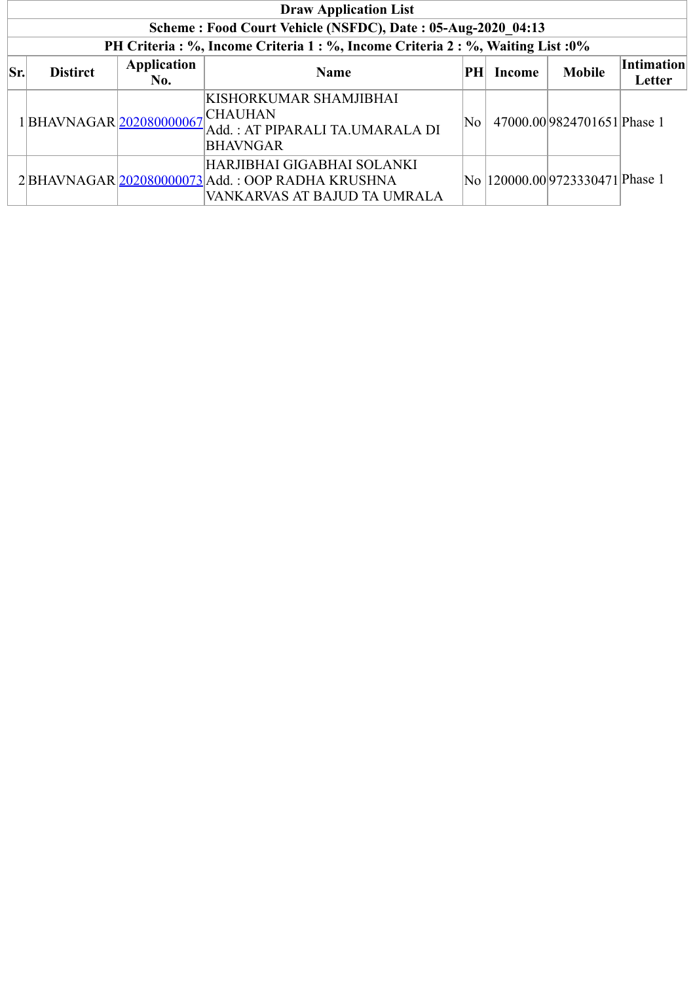|     | <b>Draw Application List</b> |                    |                                                                                                               |    |        |                                     |                             |  |  |  |  |
|-----|------------------------------|--------------------|---------------------------------------------------------------------------------------------------------------|----|--------|-------------------------------------|-----------------------------|--|--|--|--|
|     |                              |                    | Scheme: Food Court Vehicle (NSFDC), Date: 05-Aug-2020 04:13                                                   |    |        |                                     |                             |  |  |  |  |
|     |                              |                    | PH Criteria : %, Income Criteria 1 : %, Income Criteria 2 : %, Waiting List : 0%                              |    |        |                                     |                             |  |  |  |  |
| Sr. | <b>Distirct</b>              | Application<br>No. | <b>Name</b>                                                                                                   | PH | Income | <b>Mobile</b>                       | <b>Intimation</b><br>Letter |  |  |  |  |
|     | 1 BHAVNAGAR 202080000067     |                    | KISHORKUMAR SHAMJIBHAI<br><b>CHAUHAN</b><br>Add.: AT PIPARALI TA.UMARALA DI<br><b>BHAVNGAR</b>                | No |        | 47000.00 9824701651 Phase 1         |                             |  |  |  |  |
|     |                              |                    | HARJIBHAI GIGABHAI SOLANKI<br>2BHAVNAGAR 202080000073 Add.: OOP RADHA KRUSHNA<br>VANKARVAS AT BAJUD TA UMRALA |    |        | No   120000.00 9723330471   Phase 1 |                             |  |  |  |  |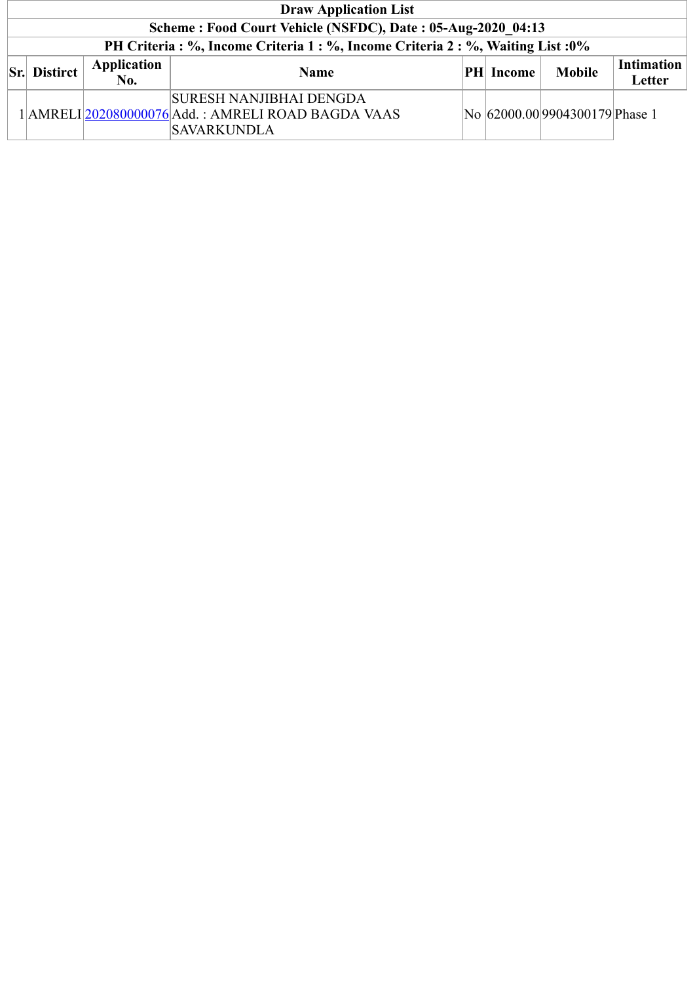| <b>Draw Application List</b> |                           |                                                                                                            |  |                  |                                |                             |  |  |  |  |
|------------------------------|---------------------------|------------------------------------------------------------------------------------------------------------|--|------------------|--------------------------------|-----------------------------|--|--|--|--|
|                              |                           | Scheme: Food Court Vehicle (NSFDC), Date: 05-Aug-2020 04:13                                                |  |                  |                                |                             |  |  |  |  |
|                              |                           | PH Criteria : %, Income Criteria 1 : %, Income Criteria 2 : %, Waiting List : 0%                           |  |                  |                                |                             |  |  |  |  |
| <b>Sr.</b> Distirct          | Application<br><b>No.</b> | <b>Name</b>                                                                                                |  | <b>PH</b> Income | <b>Mobile</b>                  | <b>Intimation</b><br>Letter |  |  |  |  |
|                              |                           | <b>SURESH NANJIBHAI DENGDA</b><br>1 AMRELI 202080000076 Add.: AMRELI ROAD BAGDA VAAS<br><b>SAVARKUNDLA</b> |  |                  | No 62000.00 9904300179 Phase 1 |                             |  |  |  |  |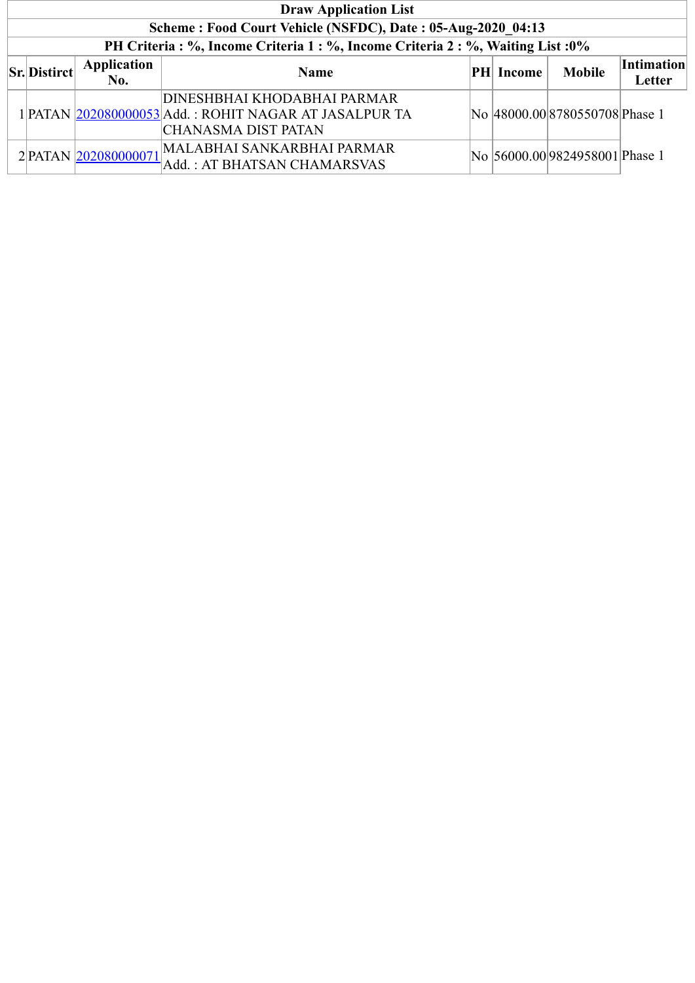| <b>Draw Application List</b>                                |                          |                                                                                                               |  |                  |                                 |                             |  |  |  |  |  |
|-------------------------------------------------------------|--------------------------|---------------------------------------------------------------------------------------------------------------|--|------------------|---------------------------------|-----------------------------|--|--|--|--|--|
| Scheme: Food Court Vehicle (NSFDC), Date: 05-Aug-2020 04:13 |                          |                                                                                                               |  |                  |                                 |                             |  |  |  |  |  |
|                                                             |                          | PH Criteria: %, Income Criteria 1: %, Income Criteria 2: %, Waiting List: 0%                                  |  |                  |                                 |                             |  |  |  |  |  |
| <b>Sr.</b> Distirct                                         | Application<br>No.       | <b>Name</b>                                                                                                   |  | <b>PH</b> Income | <b>Mobile</b>                   | <b>Intimation</b><br>Letter |  |  |  |  |  |
|                                                             |                          | DINESHBHAI KHODABHAI PARMAR<br>1 PATAN  202080000053 Add.: ROHIT NAGAR AT JASALPUR TA<br> CHANASMA DIST PATAN |  |                  | No 48000.00 8780550708 Phase 1  |                             |  |  |  |  |  |
|                                                             | $2$ PATAN $202080000071$ | MALABHAI SANKARBHAI PARMAR<br>Add.: AT BHATSAN CHAMARSVAS                                                     |  |                  | No  56000.00 9824958001 Phase 1 |                             |  |  |  |  |  |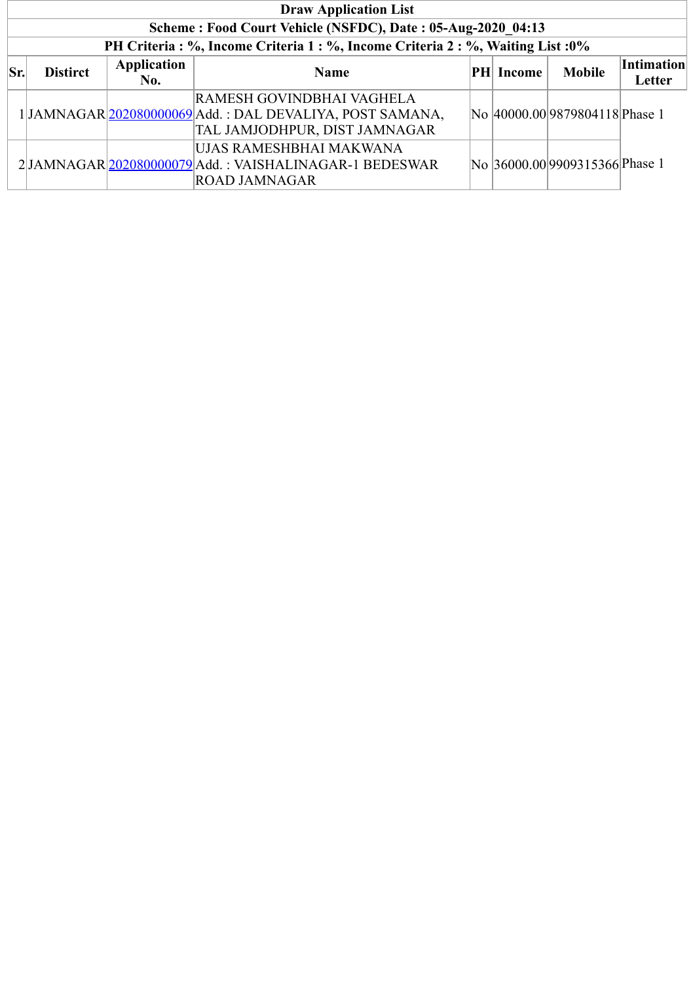| <b>Draw Application List</b> |                 |             |                                                                                  |  |           |                                |                   |  |  |
|------------------------------|-----------------|-------------|----------------------------------------------------------------------------------|--|-----------|--------------------------------|-------------------|--|--|
|                              |                 |             | Scheme: Food Court Vehicle (NSFDC), Date: 05-Aug-2020 04:13                      |  |           |                                |                   |  |  |
|                              |                 |             | PH Criteria : %, Income Criteria 1 : %, Income Criteria 2 : %, Waiting List : 0% |  |           |                                |                   |  |  |
| Sr.                          | <b>Distirct</b> | Application | <b>Name</b>                                                                      |  | PH Income | <b>Mobile</b>                  | <b>Intimation</b> |  |  |
|                              |                 | No.         |                                                                                  |  |           |                                | Letter            |  |  |
|                              |                 |             | RAMESH GOVINDBHAI VAGHELA                                                        |  |           |                                |                   |  |  |
|                              |                 |             | 1JAMNAGAR 202080000069 Add.: DAL DEVALIYA, POST SAMANA,                          |  |           | No 40000.00 9879804118 Phase 1 |                   |  |  |
|                              |                 |             | TAL JAMJODHPUR, DIST JAMNAGAR                                                    |  |           |                                |                   |  |  |
|                              |                 |             | UJAS RAMESHBHAI MAKWANA                                                          |  |           |                                |                   |  |  |
|                              |                 |             | 2JAMNAGAR 202080000079 Add.: VAISHALINAGAR-1 BEDESWAR                            |  |           | No 36000.00 9909315366 Phase 1 |                   |  |  |
|                              |                 |             | <b>ROAD JAMNAGAR</b>                                                             |  |           |                                |                   |  |  |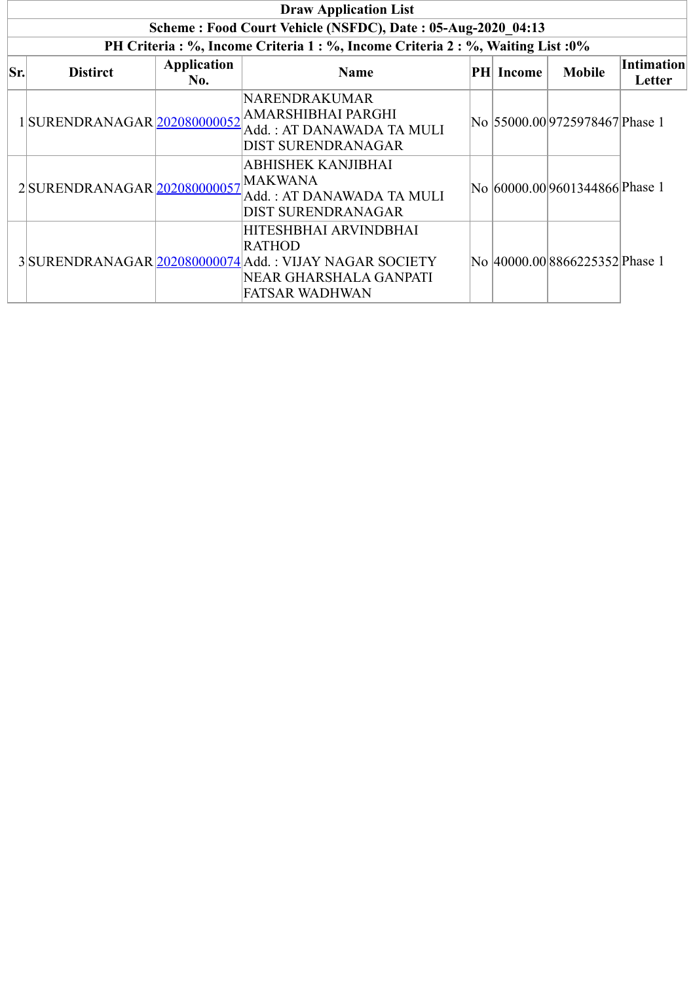|     | <b>Draw Application List</b> |                    |                                                                                                                                                     |  |                  |                                |                             |  |  |  |
|-----|------------------------------|--------------------|-----------------------------------------------------------------------------------------------------------------------------------------------------|--|------------------|--------------------------------|-----------------------------|--|--|--|
|     |                              |                    | Scheme: Food Court Vehicle (NSFDC), Date: 05-Aug-2020 04:13                                                                                         |  |                  |                                |                             |  |  |  |
|     |                              |                    | PH Criteria : %, Income Criteria 1 : %, Income Criteria 2 : %, Waiting List : 0%                                                                    |  |                  |                                |                             |  |  |  |
| Sr. | <b>Distirct</b>              | Application<br>No. | <b>Name</b>                                                                                                                                         |  | <b>PH</b> Income | <b>Mobile</b>                  | <b>Intimation</b><br>Letter |  |  |  |
|     | 1SURENDRANAGAR 202080000052  |                    | NARENDRAKUMAR<br>AMARSHIBHAI PARGHI<br>Add.: AT DANAWADA TA MULI<br>DIST SURENDRANAGAR                                                              |  |                  | No 55000.00 9725978467 Phase 1 |                             |  |  |  |
|     | 2 SURENDRANAGAR 202080000057 |                    | ABHISHEK KANJIBHAI<br><b>MAKWANA</b><br>Add. : AT DANAWADA TA MULI<br>DIST SURENDRANAGAR                                                            |  |                  | No 60000.00 9601344866 Phase 1 |                             |  |  |  |
|     |                              |                    | HITESHBHAI ARVINDBHAI<br><b>RATHOD</b><br>3 SURENDRANAGAR 202080000074 Add.: VIJAY NAGAR SOCIETY<br>NEAR GHARSHALA GANPATI<br><b>FATSAR WADHWAN</b> |  |                  | No 40000.00 8866225352 Phase 1 |                             |  |  |  |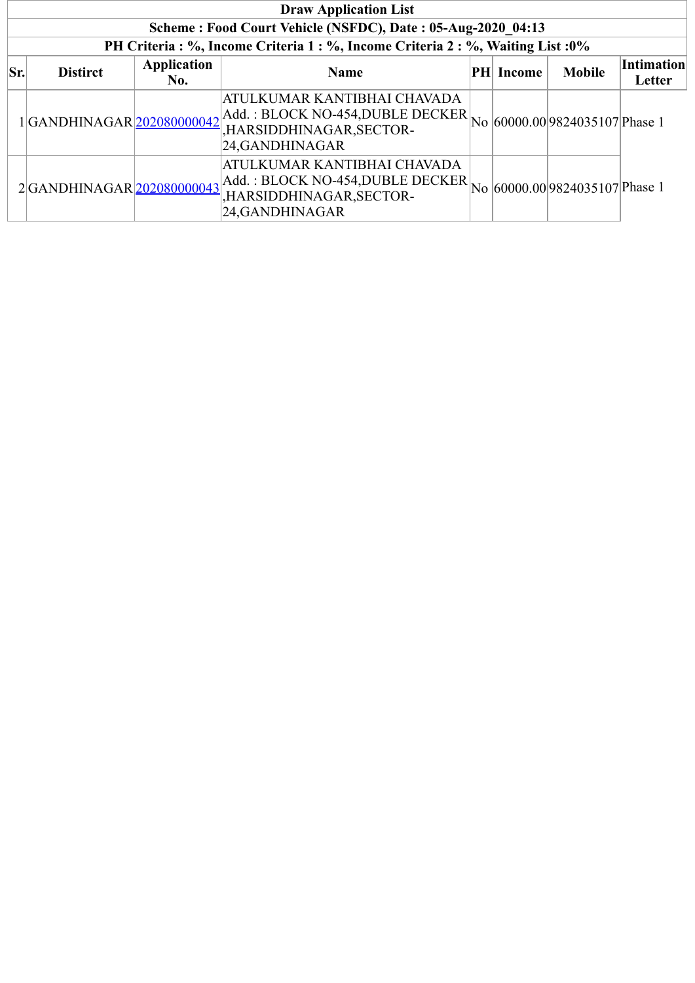| <b>Draw Application List</b>                                                     |                           |                           |                                                                                                                                                                                                           |  |                  |               |                             |  |  |
|----------------------------------------------------------------------------------|---------------------------|---------------------------|-----------------------------------------------------------------------------------------------------------------------------------------------------------------------------------------------------------|--|------------------|---------------|-----------------------------|--|--|
| Scheme: Food Court Vehicle (NSFDC), Date: 05-Aug-2020 04:13                      |                           |                           |                                                                                                                                                                                                           |  |                  |               |                             |  |  |
| PH Criteria : %, Income Criteria 1 : %, Income Criteria 2 : %, Waiting List : 0% |                           |                           |                                                                                                                                                                                                           |  |                  |               |                             |  |  |
| Sr.                                                                              | <b>Distirct</b>           | <b>Application</b><br>No. | <b>Name</b>                                                                                                                                                                                               |  | <b>PH</b> Income | <b>Mobile</b> | <b>Intimation</b><br>Letter |  |  |
|                                                                                  | 1GANDHINAGAR 202080000042 |                           | ATULKUMAR KANTIBHAI CHAVADA<br>$\left \text{Add.}: \text{BLOCK NO-454, DUBLE DECKER}\right _{\text{No}} \left  60000.00 \right  9824035107 \text{ phase 1}$<br>,HARSIDDHINAGAR, SECTOR-<br>24,GANDHINAGAR |  |                  |               |                             |  |  |
|                                                                                  | 2GANDHINAGAR 202080000043 |                           | ATULKUMAR KANTIBHAI CHAVADA<br>Add.: BLOCK NO-454, DUBLE DECKER $\vert$ No $\vert$ 60000.00 $\vert$ 9824035107 $\vert$ Phase 1<br>,HARSIDDHINAGAR, SECTOR-<br>24, GANDHINAGAR                             |  |                  |               |                             |  |  |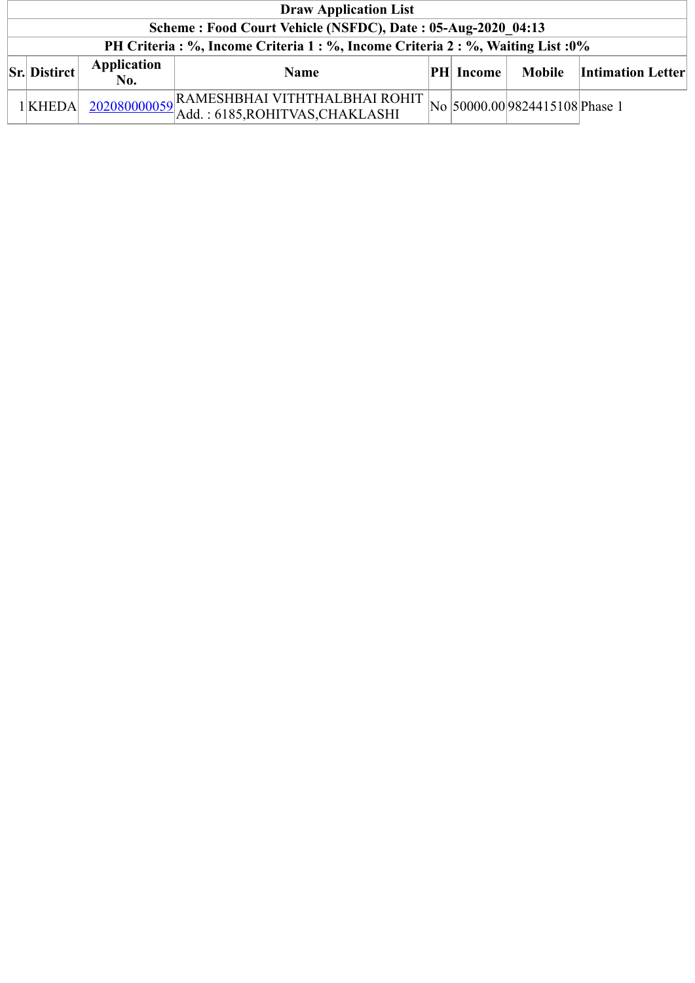|                                                             | <b>Draw Application List</b>                                                     |                           |                                                                                |  |                  |                                |                          |  |  |
|-------------------------------------------------------------|----------------------------------------------------------------------------------|---------------------------|--------------------------------------------------------------------------------|--|------------------|--------------------------------|--------------------------|--|--|
| Scheme: Food Court Vehicle (NSFDC), Date: 05-Aug-2020 04:13 |                                                                                  |                           |                                                                                |  |                  |                                |                          |  |  |
|                                                             | PH Criteria : %, Income Criteria 1 : %, Income Criteria 2 : %, Waiting List : 0% |                           |                                                                                |  |                  |                                |                          |  |  |
|                                                             | $\vert$ Sr. Distirct $\vert$                                                     | <b>Application</b><br>No. | <b>Name</b>                                                                    |  | <b>PH Income</b> | Mobile                         | <b>Intimation Letter</b> |  |  |
|                                                             | $1$ <b>KHEDA</b>                                                                 |                           | $\left[\frac{202080000059}{\text{Add.}:6185,\text{ROHITVAS,CHAKLASHI}}\right]$ |  |                  | No 50000.00 9824415108 Phase 1 |                          |  |  |